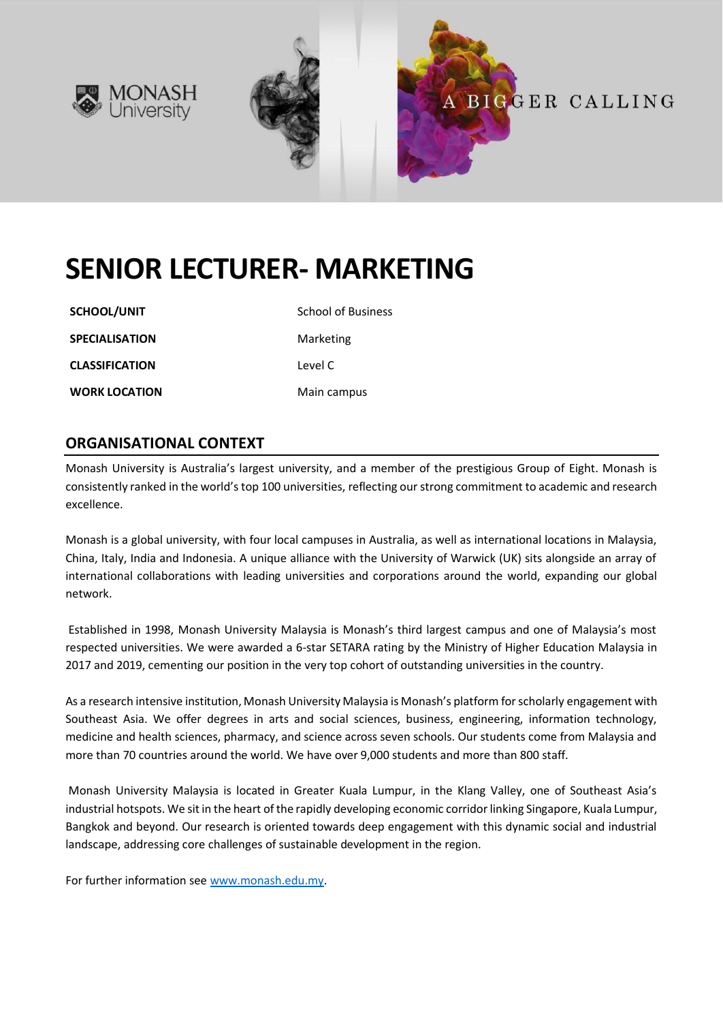



# **BIGGER CALLING**

# **SENIOR LECTURER- MARKETING**

**SCHOOL/UNIT** School of Business

**CLASSIFICATION** Level C

**WORK LOCATION** Main campus

**SPECIALISATION** Marketing

#### **ORGANISATIONAL CONTEXT**

Monash University is Australia's largest university, and a member of the prestigious Group of Eight. Monash is consistently ranked in the world's top 100 universities, reflecting our strong commitment to academic and research excellence.

Monash is a global university, with four local campuses in Australia, as well as international locations in Malaysia, China, Italy, India and Indonesia. A unique alliance with the University of Warwick (UK) sits alongside an array of international collaborations with leading universities and corporations around the world, expanding our global network.

Established in 1998, Monash University Malaysia is Monash's third largest campus and one of Malaysia's most respected universities. We were awarded a 6-star SETARA rating by the Ministry of Higher Education Malaysia in 2017 and 2019, cementing our position in the very top cohort of outstanding universities in the country.

As a research intensive institution, Monash University Malaysia is Monash's platform for scholarly engagement with Southeast Asia. We offer degrees in arts and social sciences, business, engineering, information technology, medicine and health sciences, pharmacy, and science across seven schools. Our students come from Malaysia and more than 70 countries around the world. We have over 9,000 students and more than 800 staff.

Monash University Malaysia is located in Greater Kuala Lumpur, in the Klang Valley, one of Southeast Asia's industrial hotspots. We sit in the heart of the rapidly developing economic corridor linking Singapore, Kuala Lumpur, Bangkok and beyond. Our research is oriented towards deep engagement with this dynamic social and industrial landscape, addressing core challenges of sustainable development in the region.

For further information see [www.monash.edu.my.](http://www.monash.edu.my/)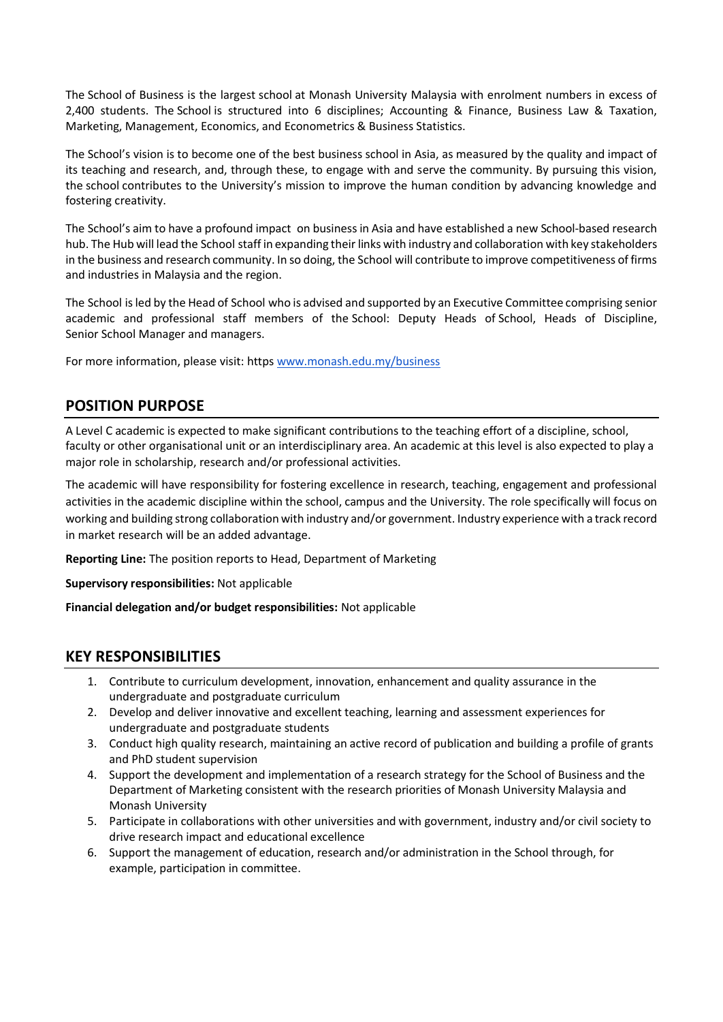The School of Business is the largest school at Monash University Malaysia with enrolment numbers in excess of 2,400 students. The School is structured into 6 disciplines; Accounting & Finance, Business Law & Taxation, Marketing, Management, Economics, and Econometrics & Business Statistics.

The School's vision is to become one of the best business school in Asia, as measured by the quality and impact of its teaching and research, and, through these, to engage with and serve the community. By pursuing this vision, the school contributes to the University's mission to improve the human condition by advancing knowledge and fostering creativity.

The School's aim to have a profound impact on business in Asia and have established a new School-based research hub. The Hub will lead the School staff in expanding their links with industry and collaboration with key stakeholders in the business and research community. In so doing, the School will contribute to improve competitiveness of firms and industries in Malaysia and the region.

The School is led by the Head of School who is advised and supported by an Executive Committee comprising senior academic and professional staff members of the School: Deputy Heads of School, Heads of Discipline, Senior School Manager and managers.

For more information, please visit: https [www.monash.edu.my/business](http://www.monash.edu.my/business)

### **POSITION PURPOSE**

A Level C academic is expected to make significant contributions to the teaching effort of a discipline, school, faculty or other organisational unit or an interdisciplinary area. An academic at this level is also expected to play a major role in scholarship, research and/or professional activities.

The academic will have responsibility for fostering excellence in research, teaching, engagement and professional activities in the academic discipline within the school, campus and the University. The role specifically will focus on working and building strong collaboration with industry and/or government. Industry experience with a track record in market research will be an added advantage.

**Reporting Line:** The position reports to Head, Department of Marketing

**Supervisory responsibilities:** Not applicable

**Financial delegation and/or budget responsibilities:** Not applicable

#### **KEY RESPONSIBILITIES**

- 1. Contribute to curriculum development, innovation, enhancement and quality assurance in the undergraduate and postgraduate curriculum
- 2. Develop and deliver innovative and excellent teaching, learning and assessment experiences for undergraduate and postgraduate students
- 3. Conduct high quality research, maintaining an active record of publication and building a profile of grants and PhD student supervision
- 4. Support the development and implementation of a research strategy for the School of Business and the Department of Marketing consistent with the research priorities of Monash University Malaysia and Monash University
- 5. Participate in collaborations with other universities and with government, industry and/or civil society to drive research impact and educational excellence
- 6. Support the management of education, research and/or administration in the School through, for example, participation in committee.